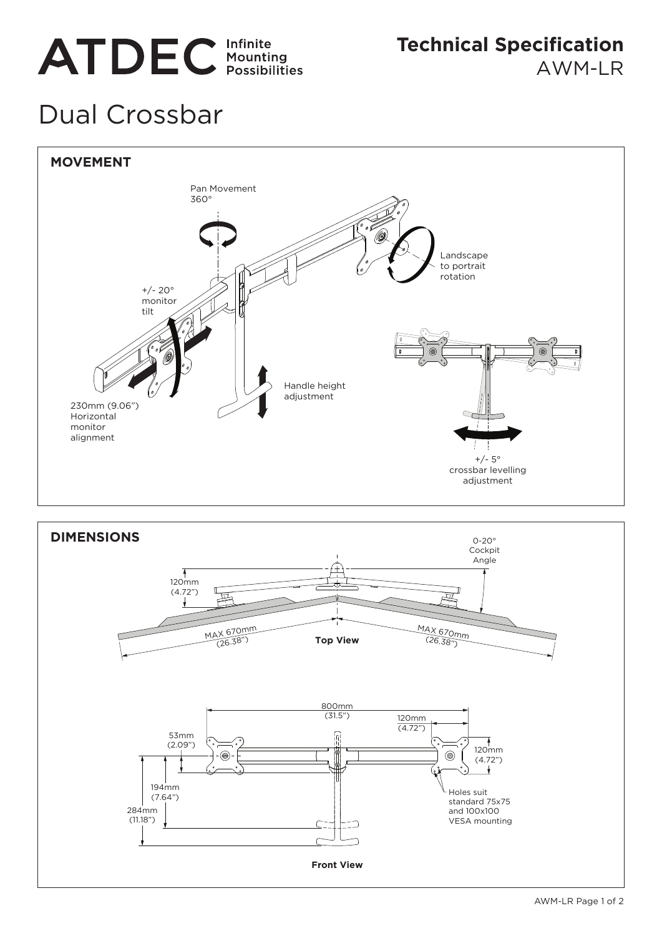# **ATDEC** Infinite

**Technical Specification** AWM-LR

## Dual Crossbar